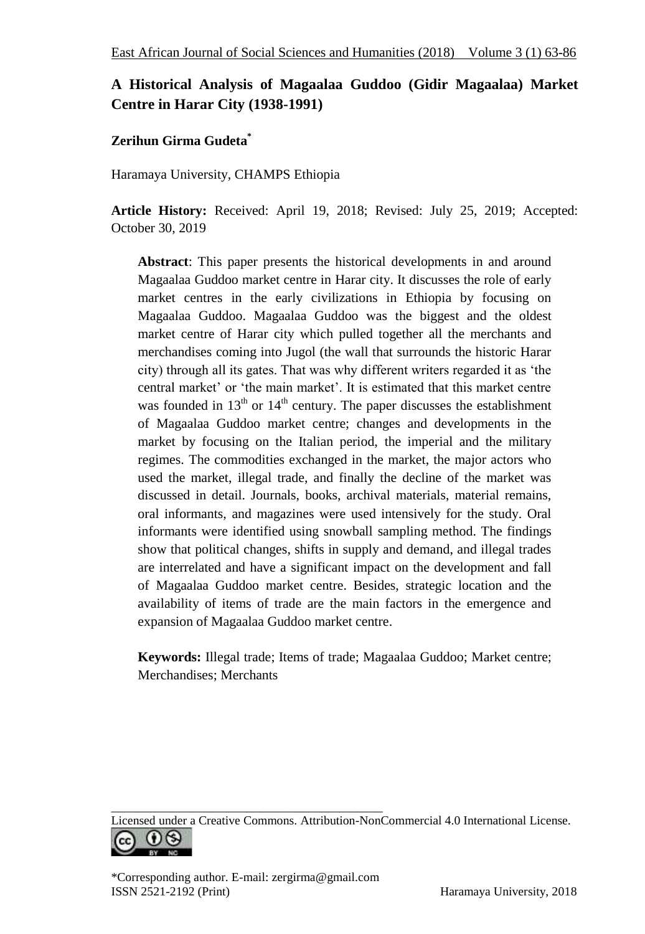# **A Historical Analysis of Magaalaa Guddoo (Gidir Magaalaa) Market Centre in Harar City (1938-1991)**

## **Zerihun Girma Gudeta\***

Haramaya University, CHAMPS Ethiopia

**Article History:** Received: April 19, 2018; Revised: July 25, 2019; Accepted: October 30, 2019

**Abstract**: This paper presents the historical developments in and around Magaalaa Guddoo market centre in Harar city. It discusses the role of early market centres in the early civilizations in Ethiopia by focusing on Magaalaa Guddoo. Magaalaa Guddoo was the biggest and the oldest market centre of Harar city which pulled together all the merchants and merchandises coming into Jugol (the wall that surrounds the historic Harar city) through all its gates. That was why different writers regarded it as "the central market' or 'the main market'. It is estimated that this market centre was founded in  $13<sup>th</sup>$  or  $14<sup>th</sup>$  century. The paper discusses the establishment of Magaalaa Guddoo market centre; changes and developments in the market by focusing on the Italian period, the imperial and the military regimes. The commodities exchanged in the market, the major actors who used the market, illegal trade, and finally the decline of the market was discussed in detail. Journals, books, archival materials, material remains, oral informants, and magazines were used intensively for the study. Oral informants were identified using snowball sampling method. The findings show that political changes, shifts in supply and demand, and illegal trades are interrelated and have a significant impact on the development and fall of Magaalaa Guddoo market centre. Besides, strategic location and the availability of items of trade are the main factors in the emergence and expansion of Magaalaa Guddoo market centre.

**Keywords:** Illegal trade; Items of trade; Magaalaa Guddoo; Market centre; Merchandises; Merchants

Licensed under a Creative Commons. Attribution-NonCommercial 4.0 International License.  $()$ (cc)

\_\_\_\_\_\_\_\_\_\_\_\_\_\_\_\_\_\_\_\_\_\_\_\_\_\_\_\_\_\_\_\_\_\_\_\_\_\_\_\_\_\_\_\_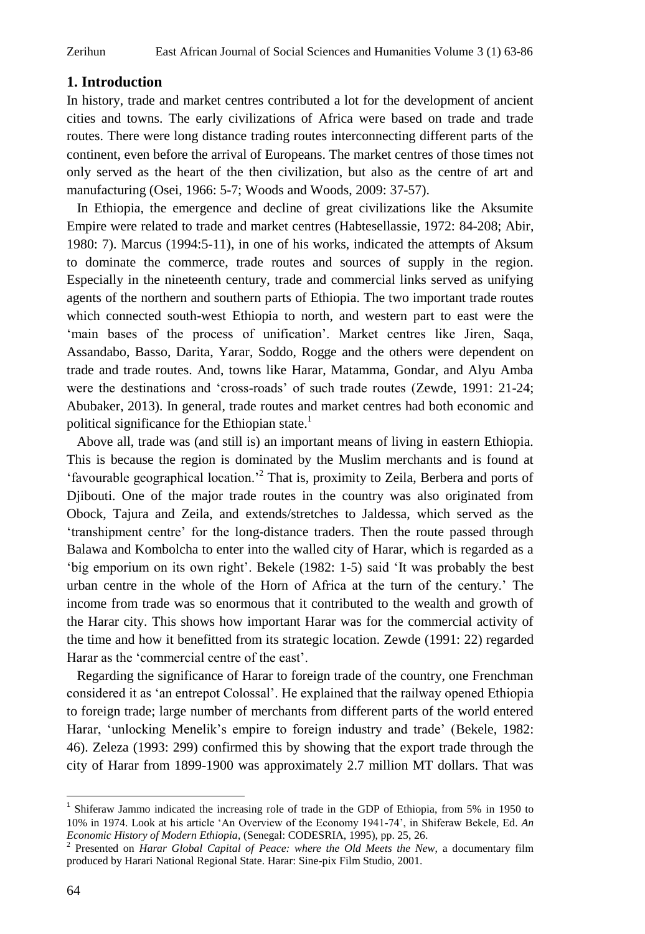## **1. Introduction**

In history, trade and market centres contributed a lot for the development of ancient cities and towns. The early civilizations of Africa were based on trade and trade routes. There were long distance trading routes interconnecting different parts of the continent, even before the arrival of Europeans. The market centres of those times not only served as the heart of the then civilization, but also as the centre of art and manufacturing (Osei, 1966: 5-7; Woods and Woods, 2009: 37-57).

 In Ethiopia, the emergence and decline of great civilizations like the Aksumite Empire were related to trade and market centres (Habtesellassie, 1972: 84-208; Abir, 1980: 7). Marcus (1994:5-11), in one of his works, indicated the attempts of Aksum to dominate the commerce, trade routes and sources of supply in the region. Especially in the nineteenth century, trade and commercial links served as unifying agents of the northern and southern parts of Ethiopia. The two important trade routes which connected south-west Ethiopia to north, and western part to east were the "main bases of the process of unification". Market centres like Jiren, Saqa, Assandabo, Basso, Darita, Yarar, Soddo, Rogge and the others were dependent on trade and trade routes. And, towns like Harar, Matamma, Gondar, and Alyu Amba were the destinations and 'cross-roads' of such trade routes (Zewde, 1991: 21-24; Abubaker, 2013). In general, trade routes and market centres had both economic and political significance for the Ethiopian state.<sup>1</sup>

 Above all, trade was (and still is) an important means of living in eastern Ethiopia. This is because the region is dominated by the Muslim merchants and is found at 'favourable geographical location.<sup>2</sup> That is, proximity to Zeila, Berbera and ports of Djibouti. One of the major trade routes in the country was also originated from Obock, Tajura and Zeila, and extends/stretches to Jaldessa, which served as the 'transhipment centre' for the long-distance traders. Then the route passed through Balawa and Kombolcha to enter into the walled city of Harar, which is regarded as a "big emporium on its own right". Bekele (1982: 1-5) said "It was probably the best urban centre in the whole of the Horn of Africa at the turn of the century." The income from trade was so enormous that it contributed to the wealth and growth of the Harar city. This shows how important Harar was for the commercial activity of the time and how it benefitted from its strategic location. Zewde (1991: 22) regarded Harar as the 'commercial centre of the east'.

 Regarding the significance of Harar to foreign trade of the country, one Frenchman considered it as "an entrepot Colossal". He explained that the railway opened Ethiopia to foreign trade; large number of merchants from different parts of the world entered Harar, "unlocking Menelik"s empire to foreign industry and trade" (Bekele, 1982: 46). Zeleza (1993: 299) confirmed this by showing that the export trade through the city of Harar from 1899-1900 was approximately 2.7 million MT dollars. That was

 $\overline{\phantom{a}}$ 

<sup>1</sup> Shiferaw Jammo indicated the increasing role of trade in the GDP of Ethiopia, from 5% in 1950 to 10% in 1974. Look at his article "An Overview of the Economy 1941-74", in Shiferaw Bekele, Ed. *An Economic History of Modern Ethiopia*, (Senegal: CODESRIA, 1995), pp. 25, 26.

<sup>2</sup> Presented on *Harar Global Capital of Peace: where the Old Meets the New*, a documentary film produced by Harari National Regional State. Harar: Sine-pix Film Studio, 2001.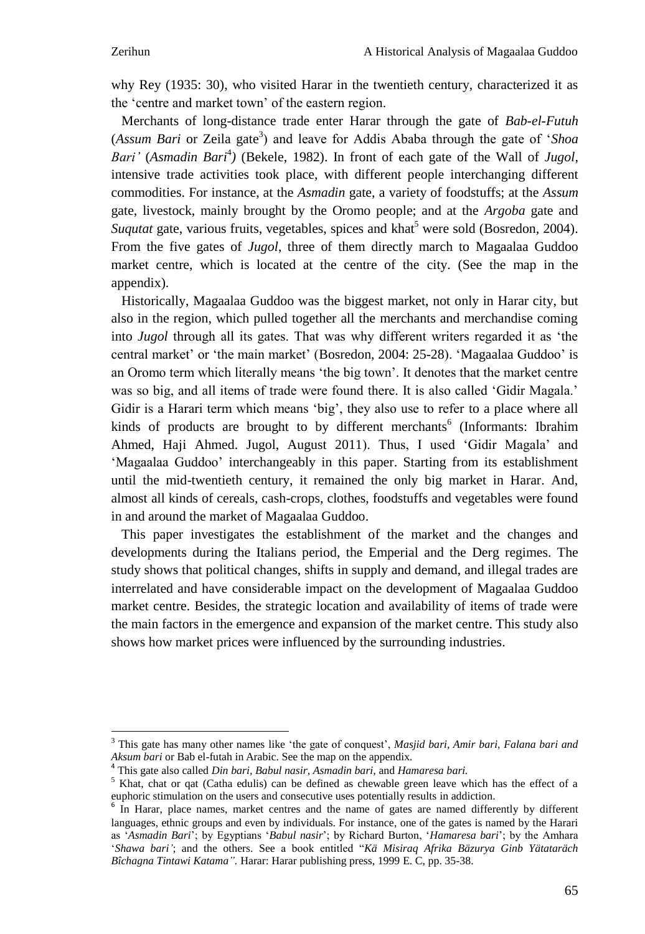$\overline{\phantom{a}}$ 

why Rey (1935: 30), who visited Harar in the twentieth century, characterized it as the "centre and market town" of the eastern region.

 Merchants of long-distance trade enter Harar through the gate of *Bab-el-Futuh* (Assum Bari or Zeila gate<sup>3</sup>) and leave for Addis Ababa through the gate of 'Shoa Bari' (Asmadin Bari<sup>4</sup>) (Bekele, 1982). In front of each gate of the Wall of *Jugol*, intensive trade activities took place, with different people interchanging different commodities. For instance, at the *Asmadin* gate, a variety of foodstuffs; at the *Assum* gate, livestock, mainly brought by the Oromo people; and at the *Argoba* gate and *Suqutat* gate, various fruits, vegetables, spices and khat<sup>5</sup> were sold (Bosredon, 2004). From the five gates of *Jugol*, three of them directly march to Magaalaa Guddoo market centre, which is located at the centre of the city. (See the map in the appendix).

 Historically, Magaalaa Guddoo was the biggest market, not only in Harar city, but also in the region, which pulled together all the merchants and merchandise coming into *Jugol* through all its gates. That was why different writers regarded it as "the central market" or "the main market" (Bosredon, 2004: 25-28). "Magaalaa Guddoo" is an Oromo term which literally means "the big town". It denotes that the market centre was so big, and all items of trade were found there. It is also called 'Gidir Magala.' Gidir is a Harari term which means "big", they also use to refer to a place where all kinds of products are brought to by different merchants<sup>6</sup> (Informants: Ibrahim Ahmed, Haji Ahmed. Jugol, August 2011). Thus, I used "Gidir Magala" and "Magaalaa Guddoo" interchangeably in this paper. Starting from its establishment until the mid-twentieth century, it remained the only big market in Harar. And, almost all kinds of cereals, cash-crops, clothes, foodstuffs and vegetables were found in and around the market of Magaalaa Guddoo.

 This paper investigates the establishment of the market and the changes and developments during the Italians period, the Emperial and the Derg regimes. The study shows that political changes, shifts in supply and demand, and illegal trades are interrelated and have considerable impact on the development of Magaalaa Guddoo market centre. Besides, the strategic location and availability of items of trade were the main factors in the emergence and expansion of the market centre. This study also shows how market prices were influenced by the surrounding industries.

<sup>3</sup> This gate has many other names like "the gate of conquest", *Masjid bari, Amir bari, Falana bari and* 

*Aksum bari* or Bab el-futah in Arabic. See the map on the appendix. 4 This gate also called *Din bari, Babul nasir, Asmadin bari,* and *Hamaresa bari.*

<sup>&</sup>lt;sup>5</sup> Khat, chat or qat (Catha edulis) can be defined as chewable green leave which has the effect of a euphoric stimulation on the users and consecutive uses potentially results in addiction.

<sup>6</sup> In Harar, place names, market centres and the name of gates are named differently by different languages, ethnic groups and even by individuals. For instance, one of the gates is named by the Harari as "*Asmadin Bari*"; by Egyptians "*Babul nasir*"; by Richard Burton, "*Hamaresa bari*"; by the Amhara "*Shawa bari'*; and the others. See a book entitled "*Kä Misiraq Afrika Bäzurya Ginb Yätataräch Bîchagna Tintawi Katama".* Harar: Harar publishing press, 1999 E. C, pp. 35-38.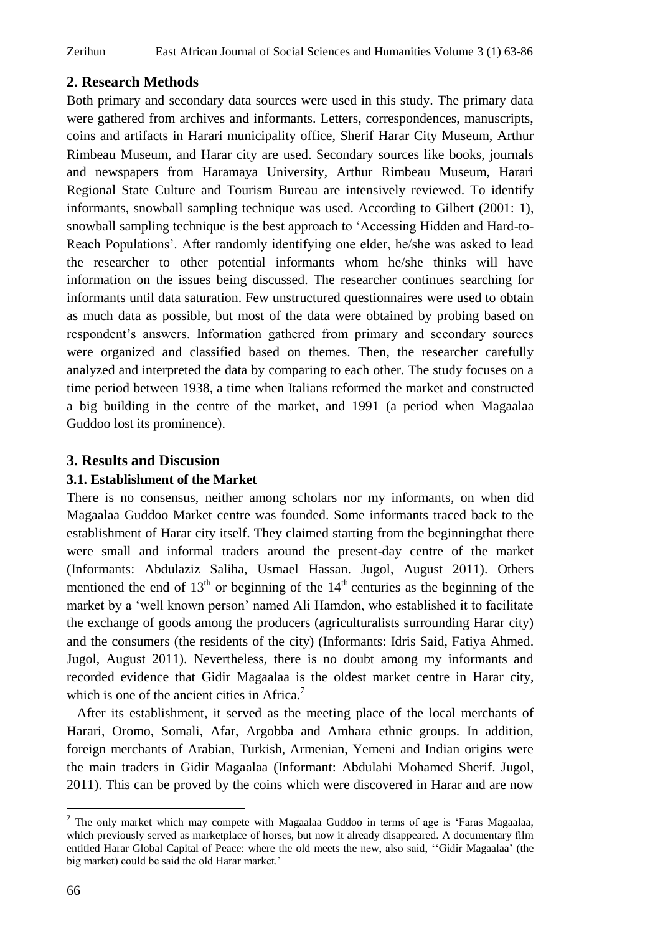### Zerihun East African Journal of Social Sciences and Humanities Volume 3 (1) 63-86

## **2. Research Methods**

Both primary and secondary data sources were used in this study. The primary data were gathered from archives and informants. Letters, correspondences, manuscripts, coins and artifacts in Harari municipality office, Sherif Harar City Museum, Arthur Rimbeau Museum, and Harar city are used. Secondary sources like books, journals and newspapers from Haramaya University, Arthur Rimbeau Museum, Harari Regional State Culture and Tourism Bureau are intensively reviewed. To identify informants, snowball sampling technique was used. According to Gilbert (2001: 1), snowball sampling technique is the best approach to "Accessing Hidden and Hard-to-Reach Populations". After randomly identifying one elder, he/she was asked to lead the researcher to other potential informants whom he/she thinks will have information on the issues being discussed. The researcher continues searching for informants until data saturation. Few unstructured questionnaires were used to obtain as much data as possible, but most of the data were obtained by probing based on respondent"s answers. Information gathered from primary and secondary sources were organized and classified based on themes. Then, the researcher carefully analyzed and interpreted the data by comparing to each other. The study focuses on a time period between 1938, a time when Italians reformed the market and constructed a big building in the centre of the market, and 1991 (a period when Magaalaa Guddoo lost its prominence).

## **3. Results and Discusion**

### **3.1. Establishment of the Market**

There is no consensus, neither among scholars nor my informants, on when did Magaalaa Guddoo Market centre was founded. Some informants traced back to the establishment of Harar city itself. They claimed starting from the beginningthat there were small and informal traders around the present-day centre of the market (Informants: Abdulaziz Saliha, Usmael Hassan. Jugol, August 2011). Others mentioned the end of  $13<sup>th</sup>$  or beginning of the  $14<sup>th</sup>$  centuries as the beginning of the market by a "well known person" named Ali Hamdon, who established it to facilitate the exchange of goods among the producers (agriculturalists surrounding Harar city) and the consumers (the residents of the city) (Informants: Idris Said, Fatiya Ahmed. Jugol, August 2011). Nevertheless, there is no doubt among my informants and recorded evidence that Gidir Magaalaa is the oldest market centre in Harar city, which is one of the ancient cities in Africa.<sup>7</sup>

 After its establishment, it served as the meeting place of the local merchants of Harari, Oromo, Somali, Afar, Argobba and Amhara ethnic groups. In addition, foreign merchants of Arabian, Turkish, Armenian, Yemeni and Indian origins were the main traders in Gidir Magaalaa (Informant: Abdulahi Mohamed Sherif. Jugol, 2011). This can be proved by the coins which were discovered in Harar and are now

<sup>&</sup>lt;sup>7</sup> The only market which may compete with Magaalaa Guddoo in terms of age is 'Faras Magaalaa, which previously served as marketplace of horses, but now it already disappeared. A documentary film entitled Harar Global Capital of Peace: where the old meets the new, also said, ""Gidir Magaalaa" (the big market) could be said the old Harar market.'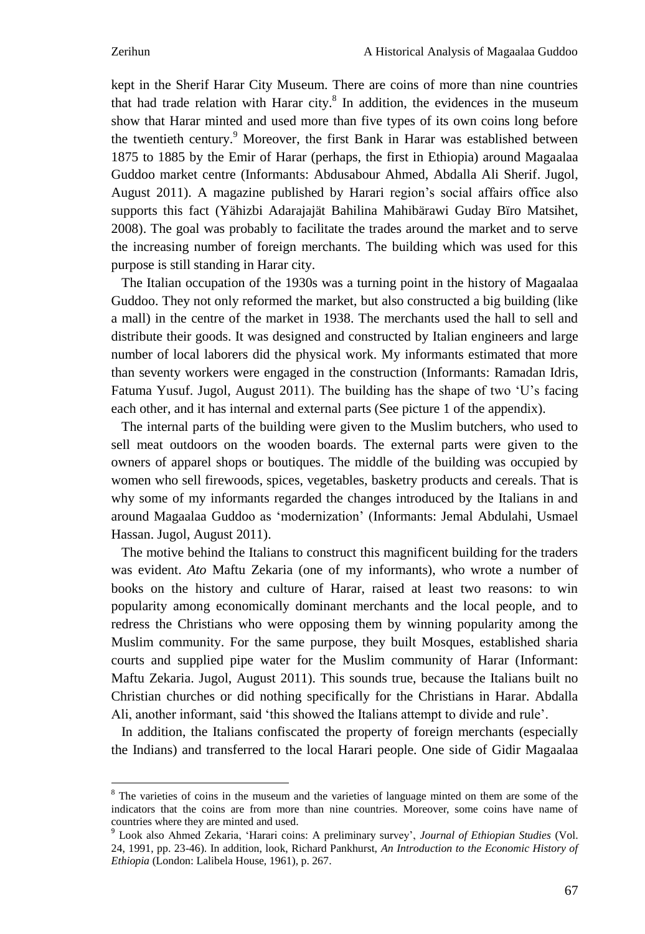$\overline{\phantom{a}}$ 

kept in the Sherif Harar City Museum. There are coins of more than nine countries that had trade relation with Harar city. ${}^{8}$  In addition, the evidences in the museum show that Harar minted and used more than five types of its own coins long before the twentieth century.<sup>9</sup> Moreover, the first Bank in Harar was established between 1875 to 1885 by the Emir of Harar (perhaps, the first in Ethiopia) around Magaalaa Guddoo market centre (Informants: Abdusabour Ahmed, Abdalla Ali Sherif. Jugol, August 2011). A magazine published by Harari region's social affairs office also supports this fact (Yähizbi Adarajajät Bahilina Mahibärawi Guday Bïro Matsihet, 2008). The goal was probably to facilitate the trades around the market and to serve the increasing number of foreign merchants. The building which was used for this purpose is still standing in Harar city.

 The Italian occupation of the 1930s was a turning point in the history of Magaalaa Guddoo. They not only reformed the market, but also constructed a big building (like a mall) in the centre of the market in 1938. The merchants used the hall to sell and distribute their goods. It was designed and constructed by Italian engineers and large number of local laborers did the physical work. My informants estimated that more than seventy workers were engaged in the construction (Informants: Ramadan Idris, Fatuma Yusuf. Jugol, August 2011). The building has the shape of two "U"s facing each other, and it has internal and external parts (See picture 1 of the appendix).

 The internal parts of the building were given to the Muslim butchers, who used to sell meat outdoors on the wooden boards. The external parts were given to the owners of apparel shops or boutiques. The middle of the building was occupied by women who sell firewoods, spices, vegetables, basketry products and cereals. That is why some of my informants regarded the changes introduced by the Italians in and around Magaalaa Guddoo as "modernization" (Informants: Jemal Abdulahi, Usmael Hassan. Jugol, August 2011).

 The motive behind the Italians to construct this magnificent building for the traders was evident. *Ato* Maftu Zekaria (one of my informants), who wrote a number of books on the history and culture of Harar, raised at least two reasons: to win popularity among economically dominant merchants and the local people, and to redress the Christians who were opposing them by winning popularity among the Muslim community. For the same purpose, they built Mosques, established sharia courts and supplied pipe water for the Muslim community of Harar (Informant: Maftu Zekaria. Jugol, August 2011). This sounds true, because the Italians built no Christian churches or did nothing specifically for the Christians in Harar. Abdalla Ali, another informant, said "this showed the Italians attempt to divide and rule".

 In addition, the Italians confiscated the property of foreign merchants (especially the Indians) and transferred to the local Harari people. One side of Gidir Magaalaa

<sup>&</sup>lt;sup>8</sup> The varieties of coins in the museum and the varieties of language minted on them are some of the indicators that the coins are from more than nine countries. Moreover, some coins have name of countries where they are minted and used.

<sup>9</sup> Look also Ahmed Zekaria, "Harari coins: A preliminary survey", *Journal of Ethiopian Studies* (Vol. 24, 1991, pp. 23-46). In addition, look, Richard Pankhurst, *An Introduction to the Economic History of Ethiopia* (London: Lalibela House, 1961), p. 267.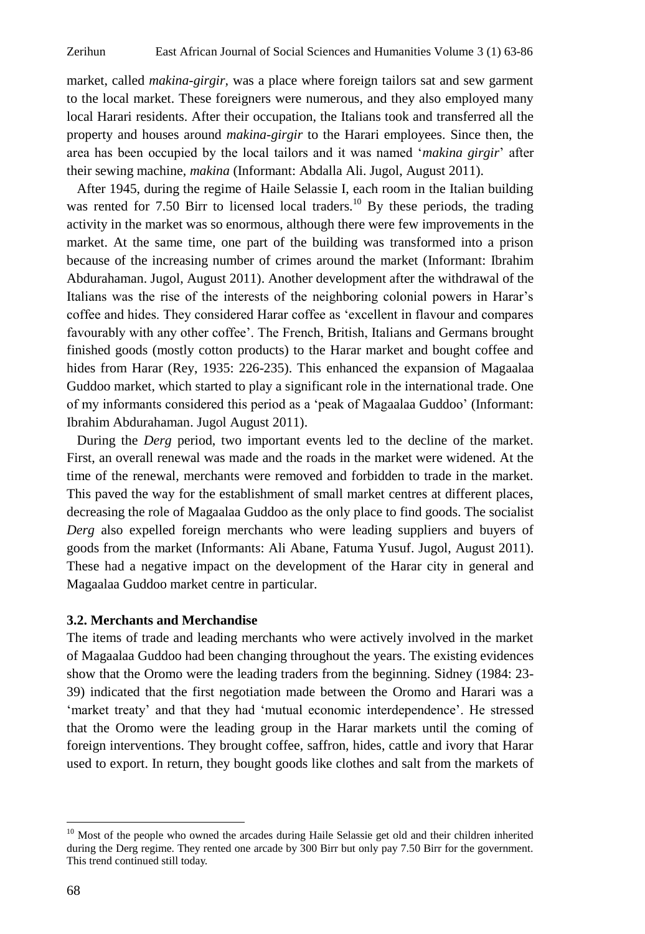market, called *makina-girgir,* was a place where foreign tailors sat and sew garment to the local market. These foreigners were numerous, and they also employed many local Harari residents. After their occupation, the Italians took and transferred all the property and houses around *makina-girgir* to the Harari employees. Since then, the area has been occupied by the local tailors and it was named "*makina girgir*" after their sewing machine, *makina* (Informant: Abdalla Ali. Jugol, August 2011).

 After 1945, during the regime of Haile Selassie I, each room in the Italian building was rented for  $7.50$  Birr to licensed local traders.<sup>10</sup> By these periods, the trading activity in the market was so enormous, although there were few improvements in the market. At the same time, one part of the building was transformed into a prison because of the increasing number of crimes around the market (Informant: Ibrahim Abdurahaman. Jugol, August 2011). Another development after the withdrawal of the Italians was the rise of the interests of the neighboring colonial powers in Harar"s coffee and hides. They considered Harar coffee as "excellent in flavour and compares favourably with any other coffee'. The French, British, Italians and Germans brought finished goods (mostly cotton products) to the Harar market and bought coffee and hides from Harar (Rey, 1935: 226-235). This enhanced the expansion of Magaalaa Guddoo market, which started to play a significant role in the international trade. One of my informants considered this period as a "peak of Magaalaa Guddoo" (Informant: Ibrahim Abdurahaman. Jugol August 2011).

 During the *Derg* period, two important events led to the decline of the market. First, an overall renewal was made and the roads in the market were widened. At the time of the renewal, merchants were removed and forbidden to trade in the market. This paved the way for the establishment of small market centres at different places, decreasing the role of Magaalaa Guddoo as the only place to find goods. The socialist *Derg* also expelled foreign merchants who were leading suppliers and buyers of goods from the market (Informants: Ali Abane, Fatuma Yusuf. Jugol, August 2011). These had a negative impact on the development of the Harar city in general and Magaalaa Guddoo market centre in particular.

#### **3.2. Merchants and Merchandise**

The items of trade and leading merchants who were actively involved in the market of Magaalaa Guddoo had been changing throughout the years. The existing evidences show that the Oromo were the leading traders from the beginning. Sidney (1984: 23- 39) indicated that the first negotiation made between the Oromo and Harari was a "market treaty" and that they had "mutual economic interdependence". He stressed that the Oromo were the leading group in the Harar markets until the coming of foreign interventions. They brought coffee, saffron, hides, cattle and ivory that Harar used to export. In return, they bought goods like clothes and salt from the markets of

l

 $10$  Most of the people who owned the arcades during Haile Selassie get old and their children inherited during the Derg regime. They rented one arcade by 300 Birr but only pay 7.50 Birr for the government. This trend continued still today.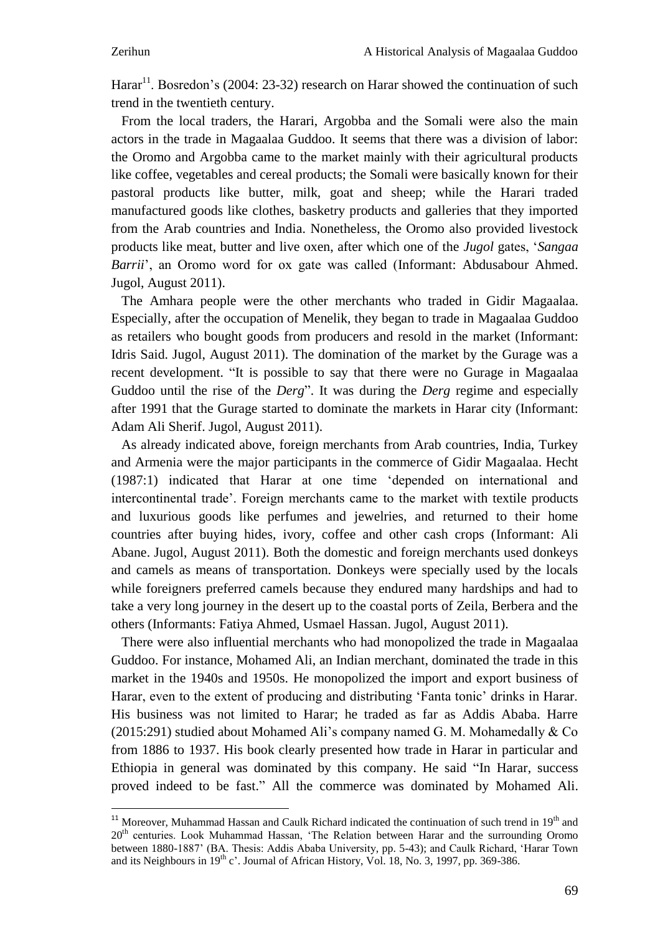l

Harar<sup>11</sup>. Bosredon's (2004: 23-32) research on Harar showed the continuation of such trend in the twentieth century.

 From the local traders, the Harari, Argobba and the Somali were also the main actors in the trade in Magaalaa Guddoo. It seems that there was a division of labor: the Oromo and Argobba came to the market mainly with their agricultural products like coffee, vegetables and cereal products; the Somali were basically known for their pastoral products like butter, milk, goat and sheep; while the Harari traded manufactured goods like clothes, basketry products and galleries that they imported from the Arab countries and India. Nonetheless, the Oromo also provided livestock products like meat, butter and live oxen, after which one of the *Jugol* gates, "*Sangaa Barrii*", an Oromo word for ox gate was called (Informant: Abdusabour Ahmed. Jugol, August 2011).

 The Amhara people were the other merchants who traded in Gidir Magaalaa. Especially, after the occupation of Menelik, they began to trade in Magaalaa Guddoo as retailers who bought goods from producers and resold in the market (Informant: Idris Said. Jugol, August 2011). The domination of the market by the Gurage was a recent development. "It is possible to say that there were no Gurage in Magaalaa Guddoo until the rise of the *Derg*". It was during the *Derg* regime and especially after 1991 that the Gurage started to dominate the markets in Harar city (Informant: Adam Ali Sherif. Jugol, August 2011).

 As already indicated above, foreign merchants from Arab countries, India, Turkey and Armenia were the major participants in the commerce of Gidir Magaalaa. Hecht (1987:1) indicated that Harar at one time "depended on international and intercontinental trade". Foreign merchants came to the market with textile products and luxurious goods like perfumes and jewelries, and returned to their home countries after buying hides, ivory, coffee and other cash crops (Informant: Ali Abane. Jugol, August 2011). Both the domestic and foreign merchants used donkeys and camels as means of transportation. Donkeys were specially used by the locals while foreigners preferred camels because they endured many hardships and had to take a very long journey in the desert up to the coastal ports of Zeila, Berbera and the others (Informants: Fatiya Ahmed, Usmael Hassan. Jugol, August 2011).

 There were also influential merchants who had monopolized the trade in Magaalaa Guddoo. For instance, Mohamed Ali, an Indian merchant, dominated the trade in this market in the 1940s and 1950s. He monopolized the import and export business of Harar, even to the extent of producing and distributing "Fanta tonic" drinks in Harar. His business was not limited to Harar; he traded as far as Addis Ababa. Harre (2015:291) studied about Mohamed Ali"s company named G. M. Mohamedally & Co from 1886 to 1937. His book clearly presented how trade in Harar in particular and Ethiopia in general was dominated by this company. He said "In Harar, success proved indeed to be fast." All the commerce was dominated by Mohamed Ali.

<sup>&</sup>lt;sup>11</sup> Moreover, Muhammad Hassan and Caulk Richard indicated the continuation of such trend in 19<sup>th</sup> and 20<sup>th</sup> centuries. Look Muhammad Hassan, 'The Relation between Harar and the surrounding Oromo between 1880-1887" (BA. Thesis: Addis Ababa University, pp. 5-43); and Caulk Richard, "Harar Town and its Neighbours in  $19<sup>th</sup>$  c'. Journal of African History, Vol. 18, No. 3, 1997, pp. 369-386.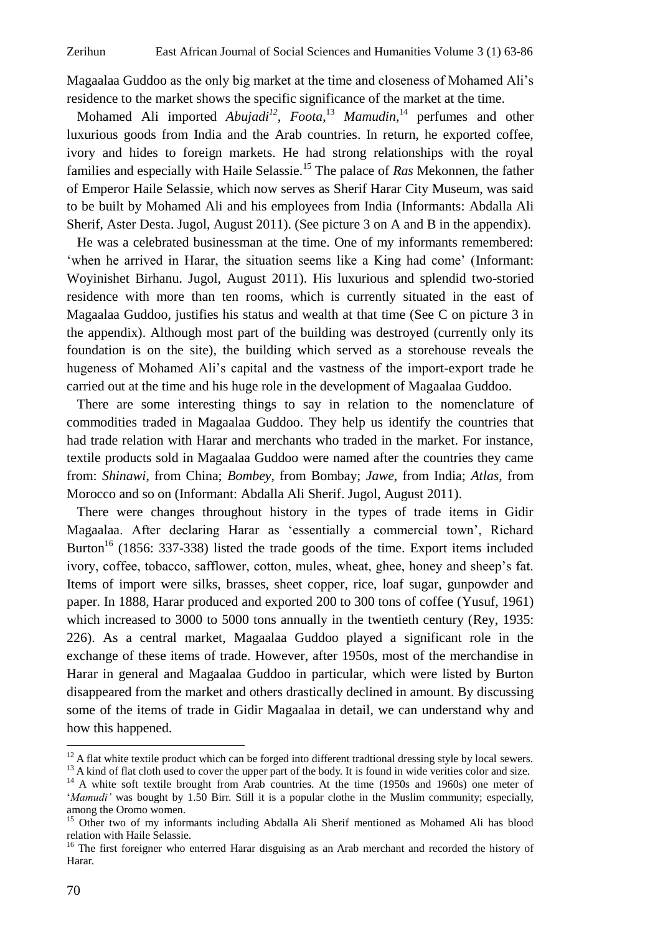Magaalaa Guddoo as the only big market at the time and closeness of Mohamed Ali"s residence to the market shows the specific significance of the market at the time.

Mohamed Ali imported *Abujadi<sup>12</sup>*, *Foota*,<sup>13</sup> *Mamudin*<sup>14</sup> perfumes and other luxurious goods from India and the Arab countries. In return, he exported coffee, ivory and hides to foreign markets. He had strong relationships with the royal families and especially with Haile Selassie.<sup>15</sup> The palace of *Ras* Mekonnen, the father of Emperor Haile Selassie, which now serves as Sherif Harar City Museum, was said to be built by Mohamed Ali and his employees from India (Informants: Abdalla Ali Sherif, Aster Desta. Jugol, August 2011). (See picture 3 on A and B in the appendix).

 He was a celebrated businessman at the time. One of my informants remembered: 'when he arrived in Harar, the situation seems like a King had come' (Informant: Woyinishet Birhanu. Jugol, August 2011). His luxurious and splendid two-storied residence with more than ten rooms, which is currently situated in the east of Magaalaa Guddoo, justifies his status and wealth at that time (See C on picture 3 in the appendix). Although most part of the building was destroyed (currently only its foundation is on the site), the building which served as a storehouse reveals the hugeness of Mohamed Ali's capital and the vastness of the import-export trade he carried out at the time and his huge role in the development of Magaalaa Guddoo.

 There are some interesting things to say in relation to the nomenclature of commodities traded in Magaalaa Guddoo. They help us identify the countries that had trade relation with Harar and merchants who traded in the market. For instance, textile products sold in Magaalaa Guddoo were named after the countries they came from: *Shinawi*, from China; *Bombey*, from Bombay; *Jawe*, from India; *Atlas,* from Morocco and so on (Informant: Abdalla Ali Sherif. Jugol, August 2011).

 There were changes throughout history in the types of trade items in Gidir Magaalaa. After declaring Harar as "essentially a commercial town", Richard Burton<sup>16</sup> (1856: 337-338) listed the trade goods of the time. Export items included ivory, coffee, tobacco, safflower, cotton, mules, wheat, ghee, honey and sheep's fat. Items of import were silks, brasses, sheet copper, rice, loaf sugar, gunpowder and paper. In 1888, Harar produced and exported 200 to 300 tons of coffee (Yusuf, 1961) which increased to 3000 to 5000 tons annually in the twentieth century (Rey, 1935: 226). As a central market, Magaalaa Guddoo played a significant role in the exchange of these items of trade. However, after 1950s, most of the merchandise in Harar in general and Magaalaa Guddoo in particular, which were listed by Burton disappeared from the market and others drastically declined in amount. By discussing some of the items of trade in Gidir Magaalaa in detail, we can understand why and how this happened.

 $\overline{\phantom{a}}$ 

 $12$  A flat white textile product which can be forged into different tradtional dressing style by local sewers.

<sup>&</sup>lt;sup>13</sup> A kind of flat cloth used to cover the upper part of the body. It is found in wide verities color and size. <sup>14</sup> A white soft textile brought from Arab countries. At the time (1950s and 1960s) one meter of "*Mamudi'* was bought by 1.50 Birr. Still it is a popular clothe in the Muslim community; especially, among the Oromo women.

<sup>&</sup>lt;sup>15</sup> Other two of my informants including Abdalla Ali Sherif mentioned as Mohamed Ali has blood relation with Haile Selassie.

<sup>&</sup>lt;sup>16</sup> The first foreigner who enterred Harar disguising as an Arab merchant and recorded the history of Harar.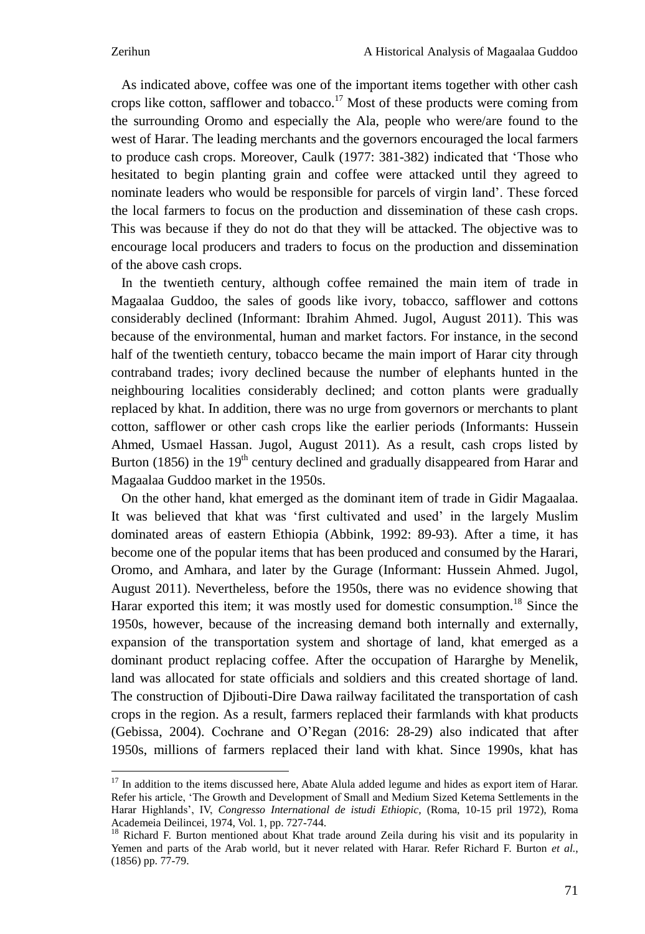$\overline{a}$ 

 As indicated above, coffee was one of the important items together with other cash crops like cotton, safflower and tobacco.<sup>17</sup> Most of these products were coming from the surrounding Oromo and especially the Ala, people who were/are found to the west of Harar. The leading merchants and the governors encouraged the local farmers to produce cash crops. Moreover, Caulk (1977: 381-382) indicated that "Those who hesitated to begin planting grain and coffee were attacked until they agreed to nominate leaders who would be responsible for parcels of virgin land". These forced the local farmers to focus on the production and dissemination of these cash crops. This was because if they do not do that they will be attacked. The objective was to encourage local producers and traders to focus on the production and dissemination of the above cash crops.

 In the twentieth century, although coffee remained the main item of trade in Magaalaa Guddoo, the sales of goods like ivory, tobacco, safflower and cottons considerably declined (Informant: Ibrahim Ahmed. Jugol, August 2011). This was because of the environmental, human and market factors. For instance, in the second half of the twentieth century, tobacco became the main import of Harar city through contraband trades; ivory declined because the number of elephants hunted in the neighbouring localities considerably declined; and cotton plants were gradually replaced by khat. In addition, there was no urge from governors or merchants to plant cotton, safflower or other cash crops like the earlier periods (Informants: Hussein Ahmed, Usmael Hassan. Jugol, August 2011). As a result, cash crops listed by Burton (1856) in the  $19<sup>th</sup>$  century declined and gradually disappeared from Harar and Magaalaa Guddoo market in the 1950s.

 On the other hand, khat emerged as the dominant item of trade in Gidir Magaalaa. It was believed that khat was "first cultivated and used" in the largely Muslim dominated areas of eastern Ethiopia (Abbink, 1992: 89-93). After a time, it has become one of the popular items that has been produced and consumed by the Harari, Oromo, and Amhara, and later by the Gurage (Informant: Hussein Ahmed. Jugol, August 2011). Nevertheless, before the 1950s, there was no evidence showing that Harar exported this item; it was mostly used for domestic consumption.<sup>18</sup> Since the 1950s, however, because of the increasing demand both internally and externally, expansion of the transportation system and shortage of land, khat emerged as a dominant product replacing coffee. After the occupation of Hararghe by Menelik, land was allocated for state officials and soldiers and this created shortage of land. The construction of Djibouti-Dire Dawa railway facilitated the transportation of cash crops in the region. As a result, farmers replaced their farmlands with khat products (Gebissa, 2004). Cochrane and O"Regan (2016: 28-29) also indicated that after 1950s, millions of farmers replaced their land with khat. Since 1990s, khat has

<sup>&</sup>lt;sup>17</sup> In addition to the items discussed here, Abate Alula added legume and hides as export item of Harar. Refer his article, "The Growth and Development of Small and Medium Sized Ketema Settlements in the Harar Highlands", IV, *Congresso International de istudi Ethiopic,* (Roma, 10-15 pril 1972), Roma Academeia Deilincei, 1974, Vol. 1, pp. 727-744.

<sup>&</sup>lt;sup>18</sup> Richard F. Burton mentioned about Khat trade around Zeila during his visit and its popularity in Yemen and parts of the Arab world, but it never related with Harar. Refer Richard F. Burton *et al.*, (1856) pp. 77-79.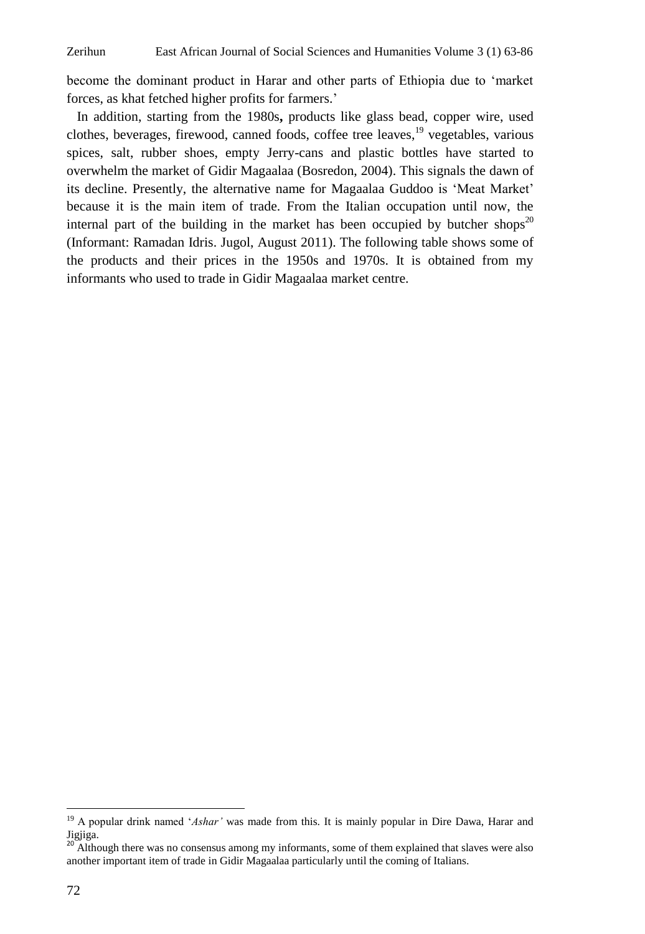become the dominant product in Harar and other parts of Ethiopia due to "market forces, as khat fetched higher profits for farmers.'

 In addition, starting from the 1980s**,** products like glass bead, copper wire, used clothes, beverages, firewood, canned foods, coffee tree leaves,<sup>19</sup> vegetables, various spices, salt, rubber shoes, empty Jerry-cans and plastic bottles have started to overwhelm the market of Gidir Magaalaa (Bosredon, 2004). This signals the dawn of its decline. Presently, the alternative name for Magaalaa Guddoo is "Meat Market" because it is the main item of trade. From the Italian occupation until now, the internal part of the building in the market has been occupied by butcher shops<sup>20</sup> (Informant: Ramadan Idris. Jugol, August 2011). The following table shows some of the products and their prices in the 1950s and 1970s. It is obtained from my informants who used to trade in Gidir Magaalaa market centre.

l

<sup>&</sup>lt;sup>19</sup> A popular drink named '*Ashar'* was made from this. It is mainly popular in Dire Dawa, Harar and Jigjiga.

Although there was no consensus among my informants, some of them explained that slaves were also another important item of trade in Gidir Magaalaa particularly until the coming of Italians.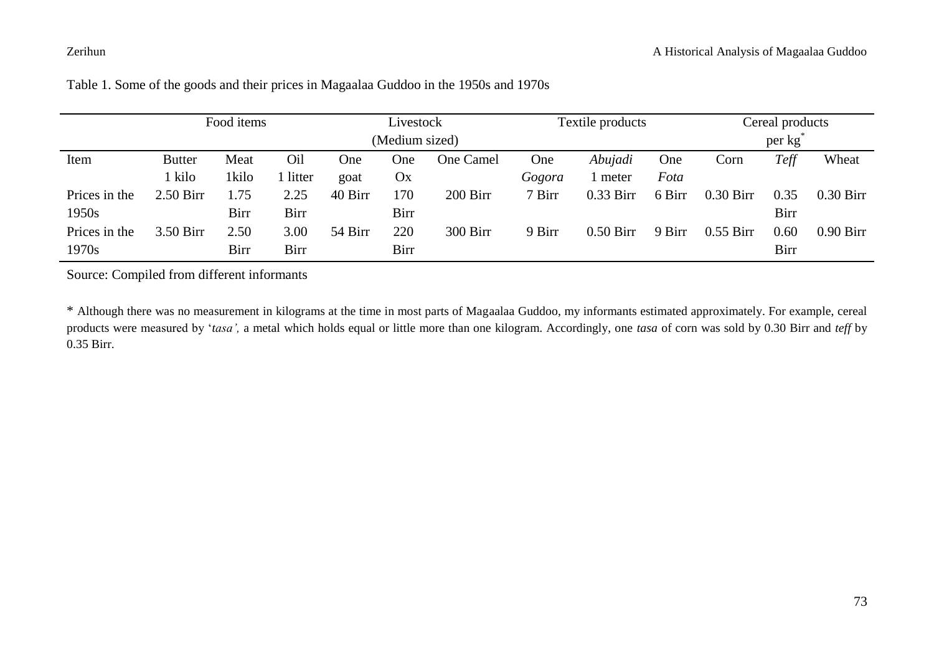|               | Food items    |       |        | Livestock<br>(Medium sized) |                | Textile products |        |             | Cereal products<br>per kg |             |      |             |
|---------------|---------------|-------|--------|-----------------------------|----------------|------------------|--------|-------------|---------------------------|-------------|------|-------------|
| Item          | <b>Butter</b> | Meat  | Oil    | One                         | One            | One Camel        | One    | Abujadi     | One                       | Corn        | Teff | Wheat       |
|               | 1 kilo        | 1kilo | litter | goat                        | O <sub>X</sub> |                  | Gogora | l meter     | Fota                      |             |      |             |
| Prices in the | $2.50$ Birr   | 1.75  | 2.25   | 40 Birr                     | 170            | 200 Birr         | 7 Birr | $0.33$ Birr | 6 Birr                    | $0.30$ Birr | 0.35 | $0.30$ Birr |
| 1950s         |               | Birr  | Birr   |                             | Birr           |                  |        |             |                           |             | Birr |             |
| Prices in the | 3.50 Birr     | 2.50  | 3.00   | 54 Birr                     | 220            | 300 Birr         | 9 Birr | $0.50$ Birr | 9 Birr                    | $0.55$ Birr | 0.60 | $0.90$ Birr |
| 1970s         |               | Birr  | Birr   |                             | Birr           |                  |        |             |                           |             | Birr |             |

Table 1. Some of the goods and their prices in Magaalaa Guddoo in the 1950s and 1970s

Source: Compiled from different informants

\* Although there was no measurement in kilograms at the time in most parts of Magaalaa Guddoo, my informants estimated approximately. For example, cereal products were measured by "*tasa',* a metal which holds equal or little more than one kilogram. Accordingly, one *tasa* of corn was sold by 0.30 Birr and *teff* by 0.35 Birr.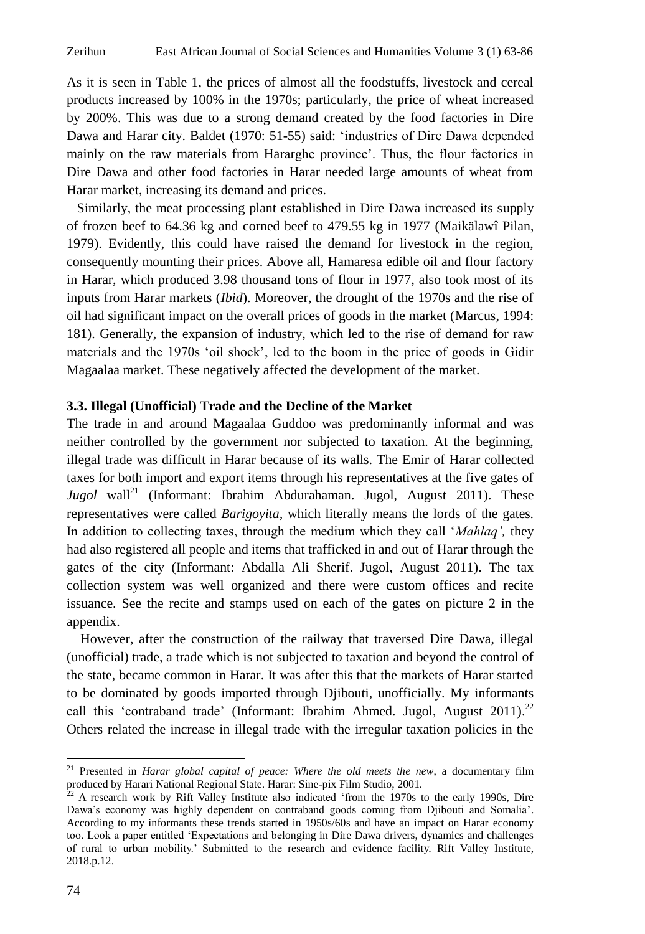As it is seen in Table 1, the prices of almost all the foodstuffs, livestock and cereal products increased by 100% in the 1970s; particularly, the price of wheat increased by 200%. This was due to a strong demand created by the food factories in Dire Dawa and Harar city. Baldet (1970: 51-55) said: "industries of Dire Dawa depended mainly on the raw materials from Hararghe province'. Thus, the flour factories in Dire Dawa and other food factories in Harar needed large amounts of wheat from Harar market, increasing its demand and prices.

 Similarly, the meat processing plant established in Dire Dawa increased its supply of frozen beef to 64.36 kg and corned beef to 479.55 kg in 1977 (Maikälawî Pilan, 1979). Evidently, this could have raised the demand for livestock in the region, consequently mounting their prices. Above all, Hamaresa edible oil and flour factory in Harar, which produced 3.98 thousand tons of flour in 1977, also took most of its inputs from Harar markets (*Ibid*). Moreover, the drought of the 1970s and the rise of oil had significant impact on the overall prices of goods in the market (Marcus, 1994: 181). Generally, the expansion of industry, which led to the rise of demand for raw materials and the 1970s "oil shock", led to the boom in the price of goods in Gidir Magaalaa market. These negatively affected the development of the market.

#### **3.3. Illegal (Unofficial) Trade and the Decline of the Market**

The trade in and around Magaalaa Guddoo was predominantly informal and was neither controlled by the government nor subjected to taxation. At the beginning, illegal trade was difficult in Harar because of its walls. The Emir of Harar collected taxes for both import and export items through his representatives at the five gates of *Jugol* wall<sup>21</sup> (Informant: Ibrahim Abdurahaman. Jugol, August 2011). These representatives were called *Barigoyita,* which literally means the lords of the gates*.* In addition to collecting taxes, through the medium which they call "*Mahlaq',* they had also registered all people and items that trafficked in and out of Harar through the gates of the city (Informant: Abdalla Ali Sherif. Jugol, August 2011). The tax collection system was well organized and there were custom offices and recite issuance. See the recite and stamps used on each of the gates on picture 2 in the appendix.

 However, after the construction of the railway that traversed Dire Dawa, illegal (unofficial) trade, a trade which is not subjected to taxation and beyond the control of the state, became common in Harar. It was after this that the markets of Harar started to be dominated by goods imported through Djibouti, unofficially. My informants call this 'contraband trade' (Informant: Ibrahim Ahmed. Jugol, August  $2011$ ).<sup>22</sup> Others related the increase in illegal trade with the irregular taxation policies in the

 $\overline{\phantom{a}}$ 

<sup>21</sup> Presented in *Harar global capital of peace: Where the old meets the new*, a documentary film produced by Harari National Regional State. Harar: Sine-pix Film Studio, 2001.

 $22$  A research work by Rift Valley Institute also indicated 'from the 1970s to the early 1990s, Dire Dawa's economy was highly dependent on contraband goods coming from Djibouti and Somalia'. According to my informants these trends started in 1950s/60s and have an impact on Harar economy too. Look a paper entitled "Expectations and belonging in Dire Dawa drivers, dynamics and challenges of rural to urban mobility." Submitted to the research and evidence facility. Rift Valley Institute, 2018.p.12.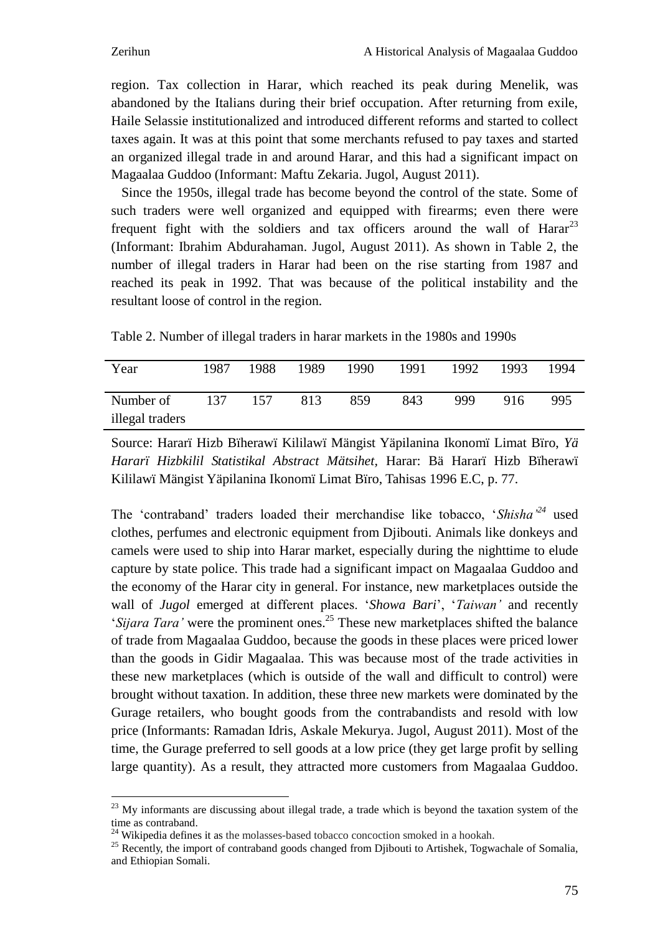l

region. Tax collection in Harar, which reached its peak during Menelik, was abandoned by the Italians during their brief occupation. After returning from exile, Haile Selassie institutionalized and introduced different reforms and started to collect taxes again. It was at this point that some merchants refused to pay taxes and started an organized illegal trade in and around Harar, and this had a significant impact on Magaalaa Guddoo (Informant: Maftu Zekaria. Jugol, August 2011).

 Since the 1950s, illegal trade has become beyond the control of the state. Some of such traders were well organized and equipped with firearms; even there were frequent fight with the soldiers and tax officers around the wall of Harar<sup>23</sup> (Informant: Ibrahim Abdurahaman. Jugol, August 2011). As shown in Table 2, the number of illegal traders in Harar had been on the rise starting from 1987 and reached its peak in 1992. That was because of the political instability and the resultant loose of control in the region.

| Table 2. Number of illegal traders in harar markets in the 1980s and 1990s |  |
|----------------------------------------------------------------------------|--|
|----------------------------------------------------------------------------|--|

| Year            | 1987 | 1988 | 1989 | 1990 | 1991 | 1992 | 1993 | 1994 |
|-----------------|------|------|------|------|------|------|------|------|
| Number of       | 137  | 157  | 813  | 859  | 843  | 999  | 916  | 995  |
| illegal traders |      |      |      |      |      |      |      |      |

Source: Hararï Hizb Bïherawï Kililawï Mängist Yäpilanina Ikonomï Limat Bïro, *Yä Hararï Hizbkilil Statistikal Abstract Mätsihet,* Harar: Bä Hararï Hizb Bïherawï Kililawï Mängist Yäpilanina Ikonomï Limat Bïro, Tahisas 1996 E.C, p. 77.

The "contraband" traders loaded their merchandise like tobacco, "*Shisha'<sup>24</sup>* used clothes, perfumes and electronic equipment from Djibouti. Animals like donkeys and camels were used to ship into Harar market, especially during the nighttime to elude capture by state police. This trade had a significant impact on Magaalaa Guddoo and the economy of the Harar city in general. For instance, new marketplaces outside the wall of *Jugol* emerged at different places. "*Showa Bari*", "*Taiwan'* and recently *'Sijara Tara'* were the prominent ones.<sup>25</sup> These new marketplaces shifted the balance of trade from Magaalaa Guddoo, because the goods in these places were priced lower than the goods in Gidir Magaalaa. This was because most of the trade activities in these new marketplaces (which is outside of the wall and difficult to control) were brought without taxation. In addition, these three new markets were dominated by the Gurage retailers, who bought goods from the contrabandists and resold with low price (Informants: Ramadan Idris, Askale Mekurya. Jugol, August 2011). Most of the time, the Gurage preferred to sell goods at a low price (they get large profit by selling large quantity). As a result, they attracted more customers from Magaalaa Guddoo.

 $2<sup>23</sup>$  My informants are discussing about illegal trade, a trade which is beyond the taxation system of the time as contraband.

 $24$  Wikipedia defines it as the molasses-based tobacco concoction smoked in a hookah.

<sup>&</sup>lt;sup>25</sup> Recently, the import of contraband goods changed from Djibouti to Artishek, Togwachale of Somalia, and Ethiopian Somali.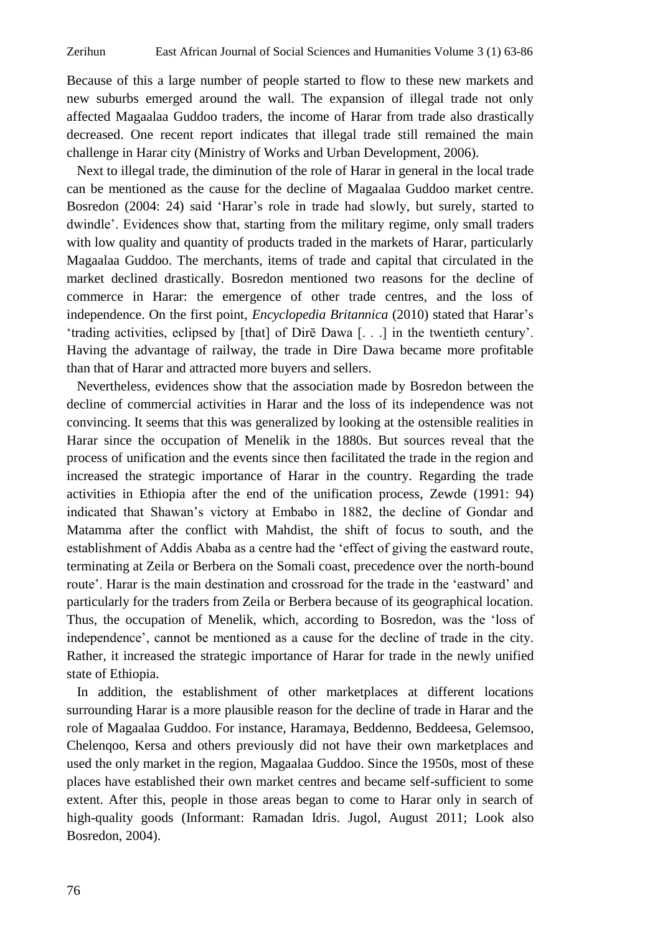Because of this a large number of people started to flow to these new markets and new suburbs emerged around the wall. The expansion of illegal trade not only affected Magaalaa Guddoo traders, the income of Harar from trade also drastically decreased. One recent report indicates that illegal trade still remained the main challenge in Harar city (Ministry of Works and Urban Development, 2006).

 Next to illegal trade, the diminution of the role of Harar in general in the local trade can be mentioned as the cause for the decline of Magaalaa Guddoo market centre. Bosredon (2004: 24) said "Harar"s role in trade had slowly, but surely, started to dwindle". Evidences show that, starting from the military regime, only small traders with low quality and quantity of products traded in the markets of Harar, particularly Magaalaa Guddoo. The merchants, items of trade and capital that circulated in the market declined drastically. Bosredon mentioned two reasons for the decline of commerce in Harar: the emergence of other trade centres, and the loss of independence. On the first point, *Encyclopedia Britannica* (2010) stated that Harar"s 'trading activities, eclipsed by [that] of Dire Dawa [...] in the twentieth century'. Having the advantage of railway, the trade in Dire Dawa became more profitable than that of Harar and attracted more buyers and sellers.

 Nevertheless, evidences show that the association made by Bosredon between the decline of commercial activities in Harar and the loss of its independence was not convincing. It seems that this was generalized by looking at the ostensible realities in Harar since the occupation of Menelik in the 1880s. But sources reveal that the process of unification and the events since then facilitated the trade in the region and increased the strategic importance of Harar in the country. Regarding the trade activities in Ethiopia after the end of the unification process, Zewde (1991: 94) indicated that Shawan"s victory at Embabo in 1882, the decline of Gondar and Matamma after the conflict with Mahdist, the shift of focus to south, and the establishment of Addis Ababa as a centre had the "effect of giving the eastward route, terminating at Zeila or Berbera on the Somali coast, precedence over the north-bound route'. Harar is the main destination and crossroad for the trade in the 'eastward' and particularly for the traders from Zeila or Berbera because of its geographical location. Thus, the occupation of Menelik, which, according to Bosredon, was the "loss of independence", cannot be mentioned as a cause for the decline of trade in the city. Rather, it increased the strategic importance of Harar for trade in the newly unified state of Ethiopia.

 In addition, the establishment of other marketplaces at different locations surrounding Harar is a more plausible reason for the decline of trade in Harar and the role of Magaalaa Guddoo. For instance, Haramaya, Beddenno, Beddeesa, Gelemsoo, Chelenqoo, Kersa and others previously did not have their own marketplaces and used the only market in the region, Magaalaa Guddoo. Since the 1950s, most of these places have established their own market centres and became self-sufficient to some extent. After this, people in those areas began to come to Harar only in search of high-quality goods (Informant: Ramadan Idris. Jugol, August 2011; Look also Bosredon, 2004).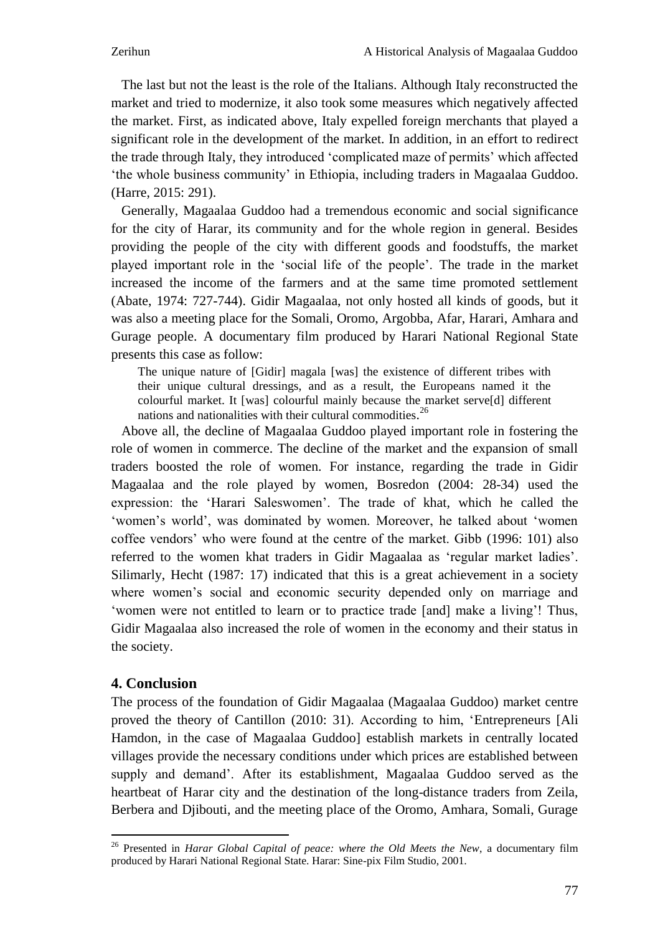The last but not the least is the role of the Italians. Although Italy reconstructed the market and tried to modernize, it also took some measures which negatively affected the market. First, as indicated above, Italy expelled foreign merchants that played a significant role in the development of the market. In addition, in an effort to redirect the trade through Italy, they introduced "complicated maze of permits" which affected "the whole business community" in Ethiopia, including traders in Magaalaa Guddoo. (Harre, 2015: 291).

 Generally, Magaalaa Guddoo had a tremendous economic and social significance for the city of Harar, its community and for the whole region in general. Besides providing the people of the city with different goods and foodstuffs, the market played important role in the "social life of the people". The trade in the market increased the income of the farmers and at the same time promoted settlement (Abate, 1974: 727-744). Gidir Magaalaa, not only hosted all kinds of goods, but it was also a meeting place for the Somali, Oromo, Argobba, Afar, Harari, Amhara and Gurage people. A documentary film produced by Harari National Regional State presents this case as follow:

The unique nature of [Gidir] magala [was] the existence of different tribes with their unique cultural dressings, and as a result, the Europeans named it the colourful market. It [was] colourful mainly because the market serve[d] different nations and nationalities with their cultural commodities.<sup>26</sup>

 Above all, the decline of Magaalaa Guddoo played important role in fostering the role of women in commerce. The decline of the market and the expansion of small traders boosted the role of women. For instance, regarding the trade in Gidir Magaalaa and the role played by women, Bosredon (2004: 28-34) used the expression: the "Harari Saleswomen". The trade of khat*,* which he called the "women"s world", was dominated by women. Moreover, he talked about "women coffee vendors" who were found at the centre of the market. Gibb (1996: 101) also referred to the women khat traders in Gidir Magaalaa as "regular market ladies". Silimarly, Hecht (1987: 17) indicated that this is a great achievement in a society where women's social and economic security depended only on marriage and 'women were not entitled to learn or to practice trade [and] make a living'! Thus, Gidir Magaalaa also increased the role of women in the economy and their status in the society.

## **4. Conclusion**

The process of the foundation of Gidir Magaalaa (Magaalaa Guddoo) market centre proved the theory of Cantillon (2010: 31). According to him, "Entrepreneurs [Ali Hamdon, in the case of Magaalaa Guddoo] establish markets in centrally located villages provide the necessary conditions under which prices are established between supply and demand". After its establishment, Magaalaa Guddoo served as the heartbeat of Harar city and the destination of the long-distance traders from Zeila, Berbera and Djibouti, and the meeting place of the Oromo, Amhara, Somali, Gurage

 $\overline{a}$ <sup>26</sup> Presented in *Harar Global Capital of peace: where the Old Meets the New*, a documentary film produced by Harari National Regional State. Harar: Sine-pix Film Studio, 2001.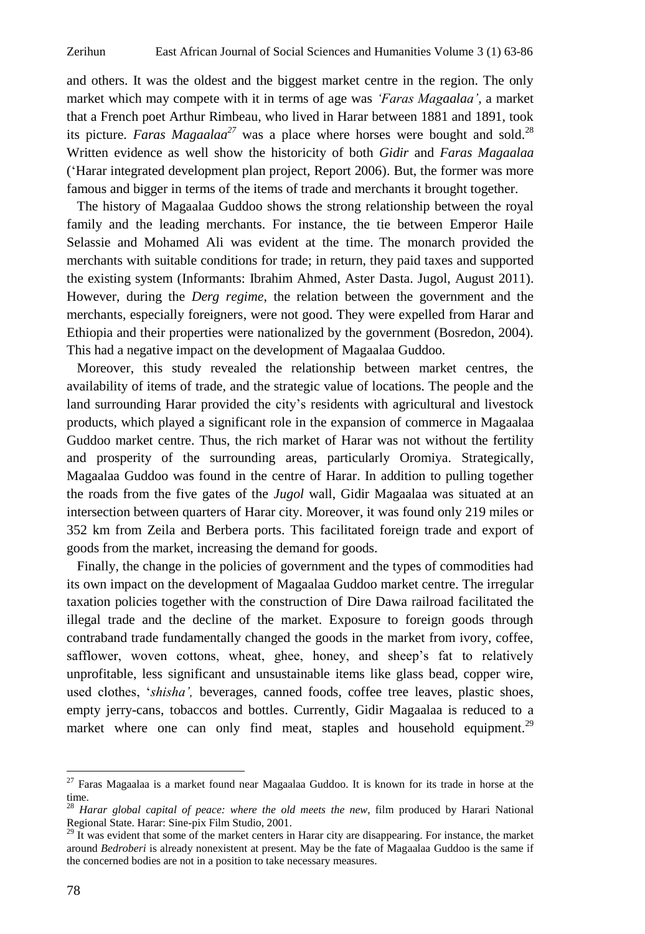and others. It was the oldest and the biggest market centre in the region. The only market which may compete with it in terms of age was *'Faras Magaalaa'*, a market that a French poet Arthur Rimbeau, who lived in Harar between 1881 and 1891, took its picture. *Faras Magaalaa*<sup>27</sup> was a place where horses were bought and sold.<sup>28</sup> Written evidence as well show the historicity of both *Gidir* and *Faras Magaalaa* ("Harar integrated development plan project, Report 2006). But, the former was more famous and bigger in terms of the items of trade and merchants it brought together.

 The history of Magaalaa Guddoo shows the strong relationship between the royal family and the leading merchants. For instance, the tie between Emperor Haile Selassie and Mohamed Ali was evident at the time. The monarch provided the merchants with suitable conditions for trade; in return, they paid taxes and supported the existing system (Informants: Ibrahim Ahmed, Aster Dasta. Jugol, August 2011). However, during the *Derg regime*, the relation between the government and the merchants, especially foreigners, were not good. They were expelled from Harar and Ethiopia and their properties were nationalized by the government (Bosredon, 2004). This had a negative impact on the development of Magaalaa Guddoo.

 Moreover, this study revealed the relationship between market centres, the availability of items of trade, and the strategic value of locations. The people and the land surrounding Harar provided the city"s residents with agricultural and livestock products, which played a significant role in the expansion of commerce in Magaalaa Guddoo market centre. Thus, the rich market of Harar was not without the fertility and prosperity of the surrounding areas, particularly Oromiya. Strategically, Magaalaa Guddoo was found in the centre of Harar. In addition to pulling together the roads from the five gates of the *Jugol* wall, Gidir Magaalaa was situated at an intersection between quarters of Harar city. Moreover, it was found only 219 miles or 352 km from Zeila and Berbera ports. This facilitated foreign trade and export of goods from the market, increasing the demand for goods.

 Finally, the change in the policies of government and the types of commodities had its own impact on the development of Magaalaa Guddoo market centre. The irregular taxation policies together with the construction of Dire Dawa railroad facilitated the illegal trade and the decline of the market. Exposure to foreign goods through contraband trade fundamentally changed the goods in the market from ivory, coffee, safflower, woven cottons, wheat, ghee, honey, and sheep"s fat to relatively unprofitable, less significant and unsustainable items like glass bead, copper wire, used clothes, "*shisha',* beverages, canned foods, coffee tree leaves, plastic shoes, empty jerry-cans, tobaccos and bottles. Currently, Gidir Magaalaa is reduced to a market where one can only find meat, staples and household equipment.<sup>29</sup>

 $\overline{a}$ 

 $^{27}$  Faras Magaalaa is a market found near Magaalaa Guddoo. It is known for its trade in horse at the time.

<sup>28</sup> *Harar global capital of peace: where the old meets the new*, film produced by Harari National Regional State. Harar: Sine-pix Film Studio, 2001.

 $29$  It was evident that some of the market centers in Harar city are disappearing. For instance, the market around *Bedroberi* is already nonexistent at present. May be the fate of Magaalaa Guddoo is the same if the concerned bodies are not in a position to take necessary measures.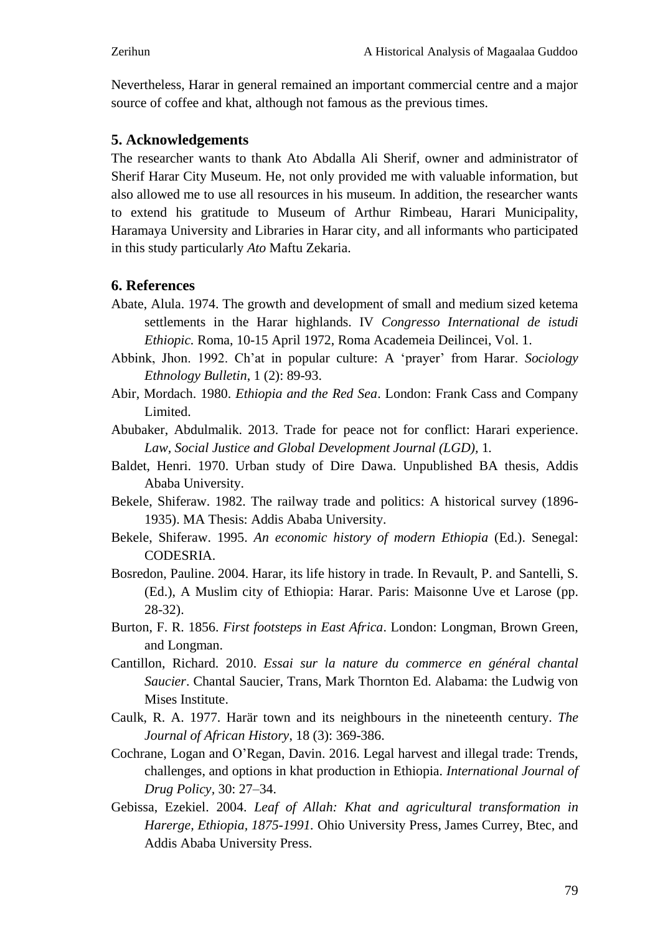Nevertheless, Harar in general remained an important commercial centre and a major source of coffee and khat, although not famous as the previous times*.*

## **5. Acknowledgements**

The researcher wants to thank Ato Abdalla Ali Sherif, owner and administrator of Sherif Harar City Museum. He, not only provided me with valuable information, but also allowed me to use all resources in his museum. In addition, the researcher wants to extend his gratitude to Museum of Arthur Rimbeau, Harari Municipality, Haramaya University and Libraries in Harar city, and all informants who participated in this study particularly *Ato* Maftu Zekaria.

## **6. References**

- Abate, Alula. 1974. The growth and development of small and medium sized ketema settlements in the Harar highlands. IV *Congresso International de istudi Ethiopic.* Roma, 10-15 April 1972, Roma Academeia Deilincei, Vol. 1.
- Abbink, Jhon. 1992. Ch"at in popular culture: A "prayer" from Harar. *Sociology Ethnology Bulletin*, 1 (2): 89-93.
- Abir, Mordach. 1980. *Ethiopia and the Red Sea*. London: Frank Cass and Company Limited.
- Abubaker, Abdulmalik. 2013. Trade for peace not for conflict: Harari experience. *Law, Social Justice and Global Development Journal (LGD),* 1*.*
- Baldet, Henri. 1970. Urban study of Dire Dawa. Unpublished BA thesis, Addis Ababa University.
- Bekele, Shiferaw. 1982. The railway trade and politics: A historical survey (1896- 1935). MA Thesis: Addis Ababa University.
- Bekele, Shiferaw. 1995. *An economic history of modern Ethiopia* (Ed.). Senegal: CODESRIA.
- Bosredon, Pauline. 2004. Harar, its life history in trade. In Revault, P. and Santelli, S. (Ed.), A Muslim city of Ethiopia: Harar. Paris: Maisonne Uve et Larose (pp. 28-32).
- Burton, F. R. 1856. *First footsteps in East Africa*. London: Longman, Brown Green, and Longman.
- Cantillon, Richard. 2010. *Essai sur la nature du commerce en général chantal Saucier*. Chantal Saucier, Trans, Mark Thornton Ed. Alabama: the Ludwig von Mises Institute.
- Caulk, R. A. 1977. Harär town and its neighbours in the nineteenth century. *The Journal of African History*, 18 (3): 369-386.
- Cochrane, Logan and O"Regan, Davin. 2016. Legal harvest and illegal trade: Trends, challenges, and options in khat production in Ethiopia. *International Journal of Drug Policy,* 30: 27–34.
- Gebissa, Ezekiel. 2004. *Leaf of Allah: Khat and agricultural transformation in Harerge, Ethiopia, 1875-1991.* Ohio University Press, James Currey, Btec, and Addis Ababa University Press.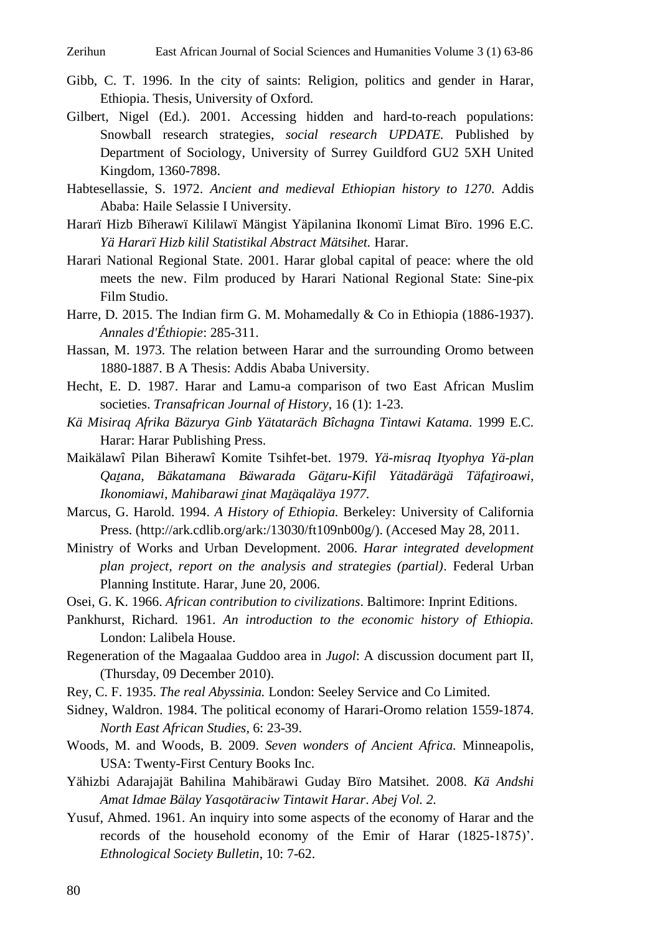- Gibb, C. T. 1996. In the city of saints: Religion, politics and gender in Harar, Ethiopia. Thesis, University of Oxford.
- Gilbert, Nigel (Ed.). 2001. Accessing hidden and hard-to-reach populations: Snowball research strategies, *social research UPDATE.* Published by Department of Sociology, University of Surrey Guildford GU2 5XH United Kingdom*,* 1360-7898.
- Habtesellassie, S. 1972. *Ancient and medieval Ethiopian history to 1270*. Addis Ababa: Haile Selassie I University.
- Hararï Hizb Bïherawï Kililawï Mängist Yäpilanina Ikonomï Limat Bïro. 1996 E.C. *Yä Hararï Hizb kilil Statistikal Abstract Mätsihet.* Harar.
- Harari National Regional State. 2001. Harar global capital of peace: where the old meets the new. Film produced by Harari National Regional State: Sine-pix Film Studio.
- Harre, D. 2015. The Indian firm G. M. Mohamedally & Co in Ethiopia (1886-1937). *Annales d'Éthiopie*: 285-311.
- Hassan, M. 1973. The relation between Harar and the surrounding Oromo between 1880-1887. B A Thesis: Addis Ababa University.
- Hecht, E. D. 1987. Harar and Lamu-a comparison of two East African Muslim societies. *Transafrican Journal of History*, 16 (1): 1-23.
- *Kä Misiraq Afrika Bäzurya Ginb Yätataräch Bîchagna Tintawi Katama.* 1999 E.C. Harar: Harar Publishing Press.
- Maikälawî Pilan Biherawî Komite Tsihfet-bet. 1979. *Yä-misraq Ityophya Yä-plan Qaṯana, Bäkatamana Bäwarada Gäṯaru-Kifil Yätadärägä Täfaṯiroawi, Ikonomiawi, Mahibarawi ṯinat Maṯäqaläya 1977.*
- Marcus, G. Harold. 1994. *A History of Ethiopia.* Berkeley: University of California Press. (http://ark.cdlib.org/ark:/13030/ft109nb00g/). (Accesed May 28, 2011.
- Ministry of Works and Urban Development. 2006. *Harar integrated development plan project, report on the analysis and strategies (partial)*. Federal Urban Planning Institute. Harar, June 20, 2006.
- Osei, G. K. 1966. *African contribution to civilizations*. Baltimore: Inprint Editions.
- Pankhurst, Richard. 1961*. An introduction to the economic history of Ethiopia.*  London: Lalibela House.
- Regeneration of the Magaalaa Guddoo area in *Jugol*: A discussion document part II, (Thursday, 09 December 2010).
- Rey, C. F. 1935. *The real Abyssinia.* London: Seeley Service and Co Limited.
- Sidney, Waldron. 1984. The political economy of Harari-Oromo relation 1559-1874. *North East African Studies,* 6: 23-39.
- Woods, M. and Woods, B. 2009. *Seven wonders of Ancient Africa.* Minneapolis, USA: Twenty-First Century Books Inc.
- Yähizbi Adarajajät Bahilina Mahibärawi Guday Bïro Matsihet. 2008. *Kä Andshi Amat Idmae Bälay Yasqotäraciw Tintawit Harar*. *Abej Vol. 2.*
- Yusuf, Ahmed. 1961. An inquiry into some aspects of the economy of Harar and the records of the household economy of the Emir of Harar (1825-1875)'. *Ethnological Society Bulletin*, 10: 7-62.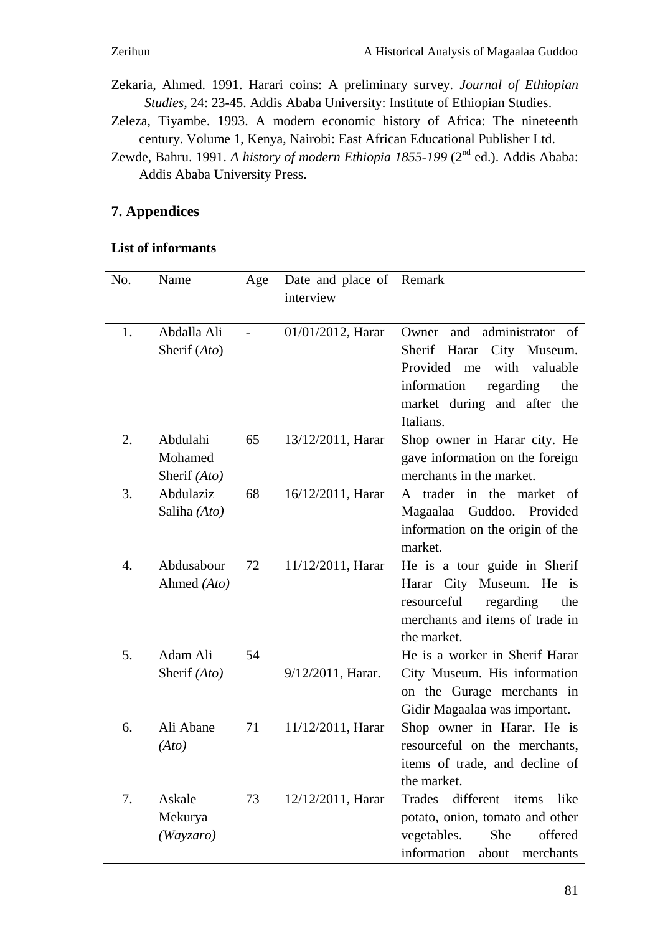- Zekaria, Ahmed. 1991. Harari coins: A preliminary survey. *Journal of Ethiopian Studies,* 24: 23-45. Addis Ababa University: Institute of Ethiopian Studies.
- Zeleza, Tiyambe. 1993. A modern economic history of Africa: The nineteenth century. Volume 1, Kenya, Nairobi: East African Educational Publisher Ltd.

# **7. Appendices**

### **List of informants**

| No. | Name                                | Age            | Date and place of<br>interview | Remark                                                                                                                                                                             |
|-----|-------------------------------------|----------------|--------------------------------|------------------------------------------------------------------------------------------------------------------------------------------------------------------------------------|
| 1.  | Abdalla Ali<br>Sherif (Ato)         | $\blacksquare$ | 01/01/2012, Harar              | and administrator<br>Owner<br>of<br>Sherif Harar<br>City Museum.<br>valuable<br>Provided me<br>with<br>information<br>regarding<br>the<br>market during and after the<br>Italians. |
| 2.  | Abdulahi<br>Mohamed<br>Sherif (Ato) | 65             | 13/12/2011, Harar              | Shop owner in Harar city. He<br>gave information on the foreign<br>merchants in the market.                                                                                        |
| 3.  | Abdulaziz<br>Saliha (Ato)           | 68             | 16/12/2011, Harar              | A trader in the market of<br>Guddoo.<br>Magaalaa<br>Provided<br>information on the origin of the<br>market.                                                                        |
| 4.  | Abdusabour<br>Ahmed (Ato)           | 72             | 11/12/2011, Harar              | He is a tour guide in Sherif<br>Harar City Museum. He<br><i>is</i><br>regarding<br>resourceful<br>the<br>merchants and items of trade in<br>the market.                            |
| 5.  | Adam Ali<br>Sherif (Ato)            | 54             | 9/12/2011, Harar.              | He is a worker in Sherif Harar<br>City Museum. His information<br>on the Gurage merchants in<br>Gidir Magaalaa was important.                                                      |
| 6.  | Ali Abane<br>(Ato)                  | 71             | 11/12/2011, Harar              | Shop owner in Harar. He is<br>resourceful on the merchants,<br>items of trade, and decline of<br>the market.                                                                       |
| 7.  | Askale<br>Mekurya<br>(Wayzaro)      | 73             | 12/12/2011, Harar              | different<br>Trades<br>items<br>like<br>potato, onion, tomato and other<br>vegetables.<br>She<br>offered<br>information<br>about<br>merchants                                      |

Zewde, Bahru. 1991. *A history of modern Ethiopia 1855-199* (2<sup>nd</sup> ed.). Addis Ababa: Addis Ababa University Press.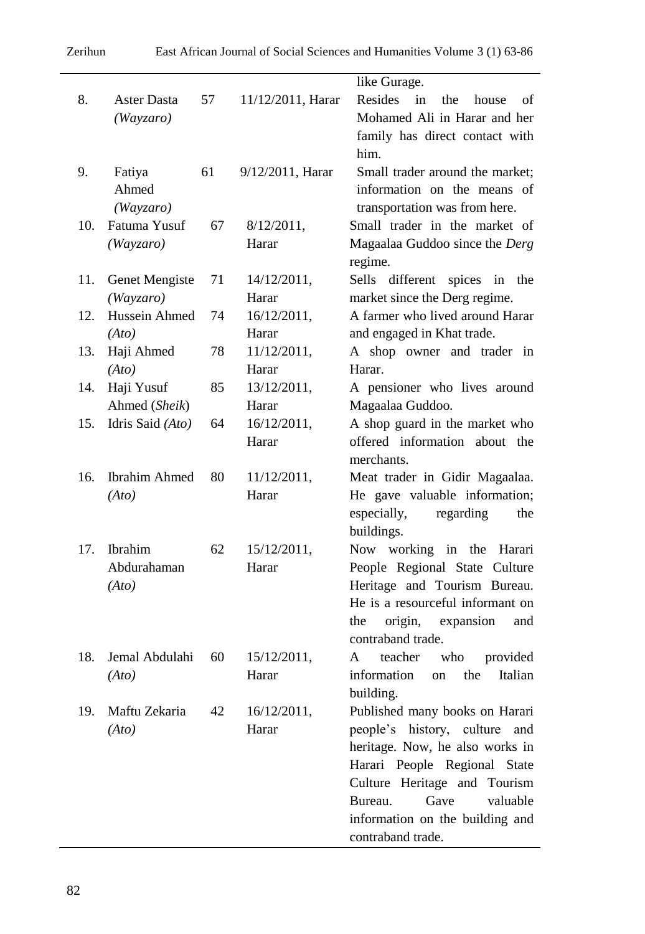|     |                      |    |                   | like Gurage.                                    |
|-----|----------------------|----|-------------------|-------------------------------------------------|
| 8.  | <b>Aster Dasta</b>   | 57 | 11/12/2011, Harar | Resides<br>in<br>the<br>house<br>of             |
|     | (Wayzaro)            |    |                   | Mohamed Ali in Harar and her                    |
|     |                      |    |                   | family has direct contact with                  |
|     |                      |    |                   | him.                                            |
| 9.  | Fatiya               | 61 | 9/12/2011, Harar  | Small trader around the market;                 |
|     | Ahmed                |    |                   | information on the means of                     |
|     | (Wayzaro)            |    |                   | transportation was from here.                   |
| 10. | Fatuma Yusuf         | 67 | 8/12/2011,        | Small trader in the market of                   |
|     | (Wayzaro)            |    | Harar             | Magaalaa Guddoo since the Derg<br>regime.       |
| 11. | Genet Mengiste       | 71 | 14/12/2011,       | Sells different spices in the                   |
|     | (Wayzaro)            |    | Harar             | market since the Derg regime.                   |
| 12. | Hussein Ahmed        | 74 | 16/12/2011,       | A farmer who lived around Harar                 |
|     | (Ato)                |    | Harar             | and engaged in Khat trade.                      |
| 13. | Haji Ahmed           | 78 | 11/12/2011,       | A shop owner and trader in                      |
|     | (Ato)                |    | Harar             | Harar.                                          |
| 14. | Haji Yusuf           | 85 | 13/12/2011,       | A pensioner who lives around                    |
|     | Ahmed (Sheik)        |    | Harar             | Magaalaa Guddoo.                                |
| 15. | Idris Said (Ato)     | 64 | 16/12/2011,       | A shop guard in the market who                  |
|     |                      |    | Harar             | offered information about the                   |
|     |                      |    |                   | merchants.                                      |
| 16. | <b>Ibrahim Ahmed</b> | 80 | 11/12/2011,       | Meat trader in Gidir Magaalaa.                  |
|     | (Ato)                |    | Harar             | He gave valuable information;                   |
|     |                      |    |                   | especially,<br>regarding<br>the                 |
|     |                      |    |                   | buildings.                                      |
| 17. | Ibrahim              | 62 | 15/12/2011,       | Now working in the<br>Harari                    |
|     | Abdurahaman          |    | Harar             | People Regional State Culture                   |
|     | (Ato)                |    |                   | Heritage and Tourism Bureau.                    |
|     |                      |    |                   | He is a resourceful informant on                |
|     |                      |    |                   | origin,<br>expansion<br>the<br>and              |
|     | Jemal Abdulahi       | 60 | 15/12/2011,       | contraband trade.<br>teacher<br>A<br>who        |
| 18. | (Ato)                |    | Harar             | provided<br>information<br>the<br>Italian<br>on |
|     |                      |    |                   | building.                                       |
| 19. | Maftu Zekaria        | 42 | 16/12/2011,       | Published many books on Harari                  |
|     | (Ato)                |    | Harar             | people's history, culture<br>and                |
|     |                      |    |                   | heritage. Now, he also works in                 |
|     |                      |    |                   | Harari People Regional State                    |
|     |                      |    |                   | Culture Heritage and Tourism                    |
|     |                      |    |                   | Gave<br>Bureau.<br>valuable                     |
|     |                      |    |                   | information on the building and                 |
|     |                      |    |                   | contraband trade.                               |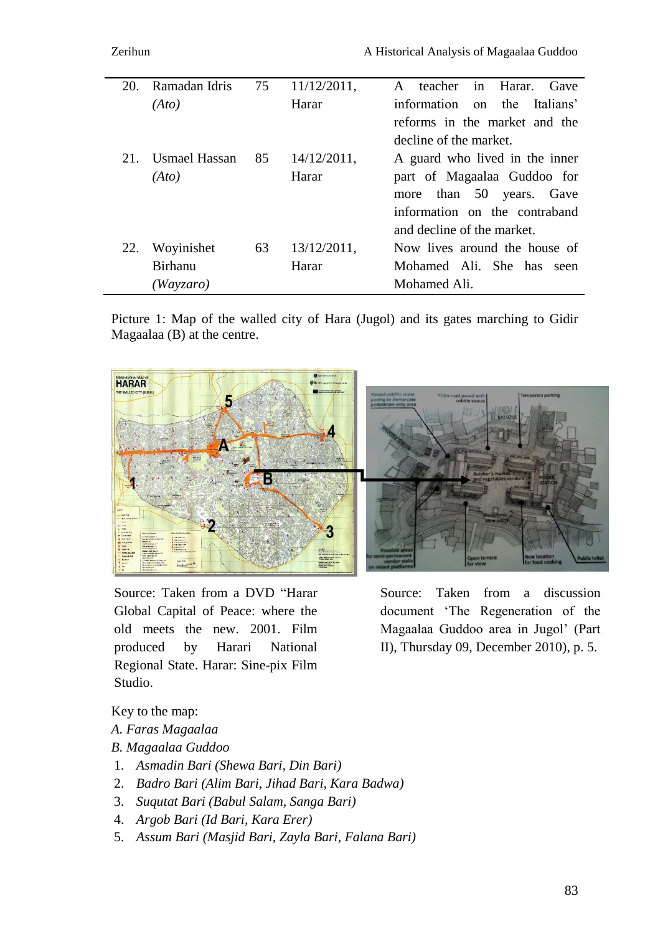| 20. | Ramadan Idris | 75 | $11/12/2011$ , | A teacher in Harar.<br><b>Gave</b> |
|-----|---------------|----|----------------|------------------------------------|
|     | (Ato)         |    | Harar          | information on the Italians'       |
|     |               |    |                | reforms in the market and the      |
|     |               |    |                | decline of the market.             |
|     | Usmael Hassan | 85 | 14/12/2011,    | A guard who lived in the inner     |
|     | (Ato)         |    | Harar          | part of Magaalaa Guddoo for        |
|     |               |    |                | more than 50 years. Gave           |
|     |               |    |                | information on the contraband      |
|     |               |    |                | and decline of the market.         |
| 22. | Woyinishet    | 63 | 13/12/2011,    | Now lives around the house of      |
|     | Birhanu       |    | Harar          | Mohamed Ali. She has<br>seen       |
|     | (Wayzaro)     |    |                | Mohamed Ali.                       |

Picture 1: Map of the walled city of Hara (Jugol) and its gates marching to Gidir Magaalaa (B) at the centre.



Source: Taken from a DVD "Harar Global Capital of Peace: where the old meets the new. 2001. Film produced by Harari National Regional State. Harar: Sine-pix Film Studio.

Source: Taken from a discussion document "The Regeneration of the Magaalaa Guddoo area in Jugol" (Part II), Thursday 09, December 2010), p. 5.

Key to the map:

- *A. Faras Magaalaa*
- *B. Magaalaa Guddoo*
- 1. *Asmadin Bari (Shewa Bari, Din Bari)*
- 2. *Badro Bari (Alim Bari, Jihad Bari, Kara Badwa)*
- 3. *Suqutat Bari (Babul Salam, Sanga Bari)*
- 4. *Argob Bari (Id Bari, Kara Erer)*
- 5. *Assum Bari (Masjid Bari, Zayla Bari, Falana Bari)*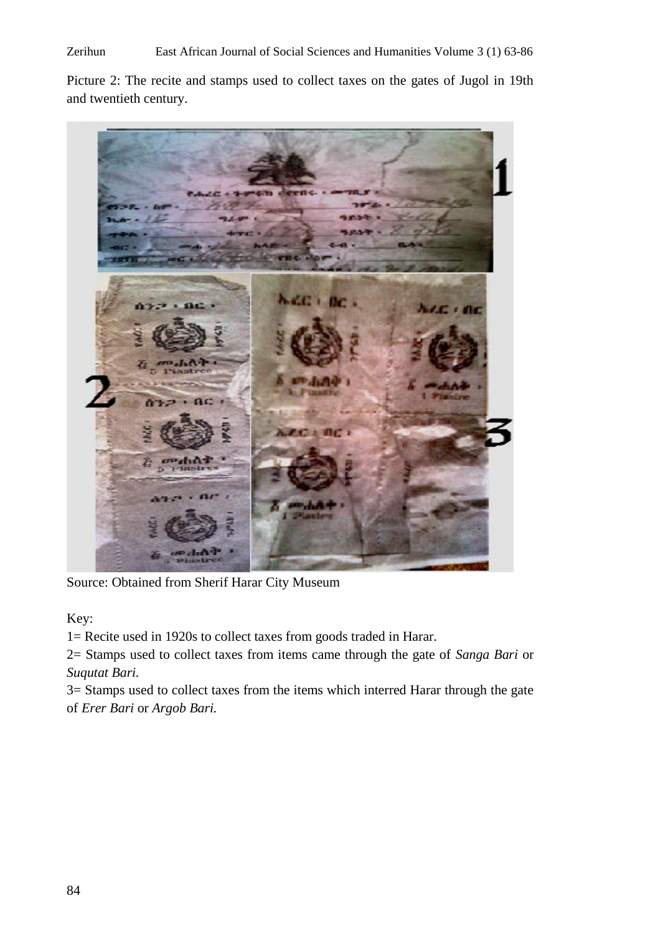Zerihun East African Journal of Social Sciences and Humanities Volume 3 (1) 63-86

Picture 2: The recite and stamps used to collect taxes on the gates of Jugol in 19th and twentieth century.



Source: Obtained from Sherif Harar City Museum

Key:

1= Recite used in 1920s to collect taxes from goods traded in Harar.

2= Stamps used to collect taxes from items came through the gate of *Sanga Bari* or *Suqutat Bari.* 

3= Stamps used to collect taxes from the items which interred Harar through the gate of *Erer Bari* or *Argob Bari.*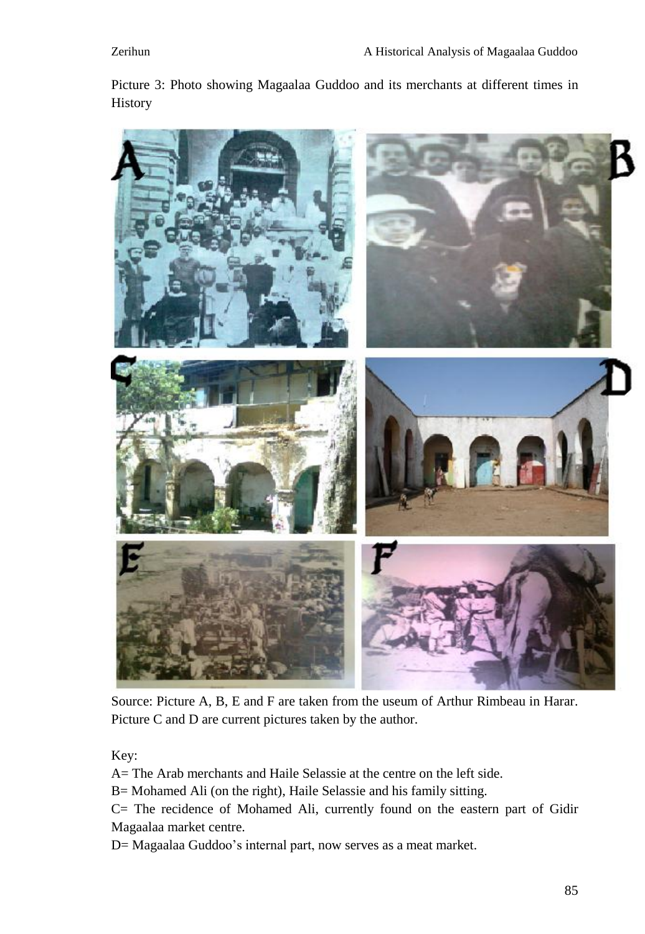Picture 3: Photo showing Magaalaa Guddoo and its merchants at different times in History



Source: Picture A, B, E and F are taken from the useum of Arthur Rimbeau in Harar. Picture C and D are current pictures taken by the author.

Key:

A= The Arab merchants and Haile Selassie at the centre on the left side.

B= Mohamed Ali (on the right), Haile Selassie and his family sitting.

C= The recidence of Mohamed Ali, currently found on the eastern part of Gidir Magaalaa market centre.

D= Magaalaa Guddoo"s internal part, now serves as a meat market.